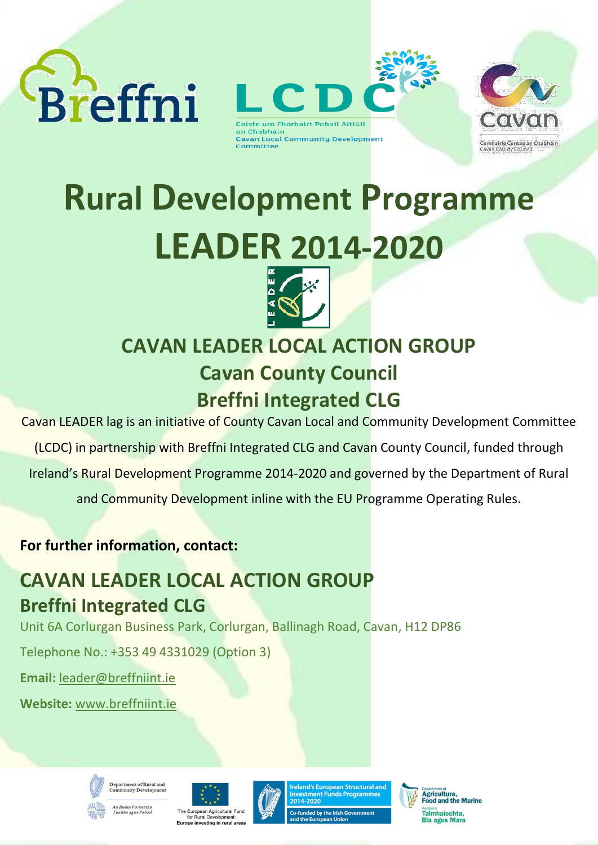



**Cavan Local Community Development** Committee



# **Rural Development Programme LEADER 2014-2020**



# **CAVAN LEADER LOCAL ACTION GROUP Cavan County Council Breffni Integrated CLG**

Cavan LEADER lag is an initiative of County Cavan Local and Community Development Committee

(LCDC) in partnership with Breffni Integrated CLG and Cavan County Council, funded through

Ireland's Rural Development Programme 2014-2020 and governed by the Department of Rural

and Community Development inline with the EU Programme Operating Rules.

**For further information, contact:**

# **CAVAN LEADER LOCAL ACTION GROUP Breffni Integrated CLG**

Unit 6A Corlurgan Business Park, Corlurgan, Ballinagh Road, Cavan, H12 DP86

Telephone No.: +353 49 4331029 (Option 3)

**Email:** [leader@breffniint.ie](mailto:leader@breffniint.ie) 

**Website:** [www.breffniint.ie](http://www.breffniint.ie/)











Agriculture,<br>Food and the Marine An Roinn<br>Talmhaíochta. Bia agus Mara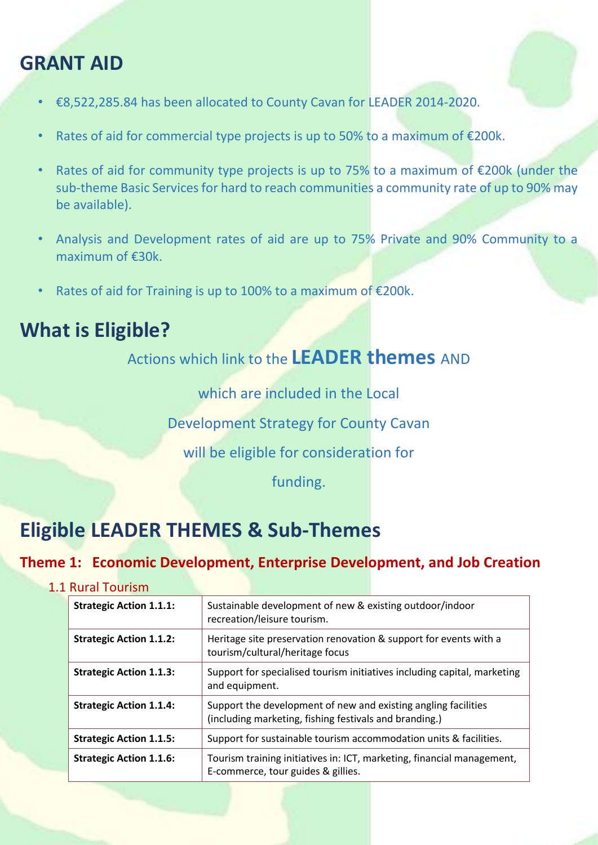# **GRANT AID**

- €8,522,285.84 has been allocated to County Cavan for LEADER 2014-2020.
- Rates of aid for commercial type projects is up to 50% to a maximum of  $E200k$ .
- Rates of aid for community type projects is up to 75% to a maximum of  $\epsilon$ 200k (under the sub-theme Basic Services for hard to reach communities a community rate of up to 90% may be available).
- Analysis and Development rates of aid are up to 75% Private and 90% Community to a maximum of €30k.
- Rates of aid for Training is up to 100% to a maximum of €200k.

### **What is Eligible?**

Actions which link to the **LEADER themes** AND

which are included in the Local

Development Strategy for County Cavan

will be eligible for consideration for

funding.

# **Eligible LEADER THEMES & Sub-Themes**

#### **Theme 1: Economic Development, Enterprise Development, and Job Creation**

#### 1.1 Rural Tourism

| <b>Strategic Action 1.1.1:</b> | Sustainable development of new & existing outdoor/indoor<br>recreation/leisure tourism.                                  |  |
|--------------------------------|--------------------------------------------------------------------------------------------------------------------------|--|
| <b>Strategic Action 1.1.2:</b> | Heritage site preservation renovation & support for events with a<br>tourism/cultural/heritage focus                     |  |
| <b>Strategic Action 1.1.3:</b> | Support for specialised tourism initiatives including capital, marketing<br>and equipment.                               |  |
| <b>Strategic Action 1.1.4:</b> | Support the development of new and existing angling facilities<br>(including marketing, fishing festivals and branding.) |  |
| <b>Strategic Action 1.1.5:</b> | Support for sustainable tourism accommodation units & facilities.                                                        |  |
| <b>Strategic Action 1.1.6:</b> | Tourism training initiatives in: ICT, marketing, financial management,<br>E-commerce, tour guides & gillies.             |  |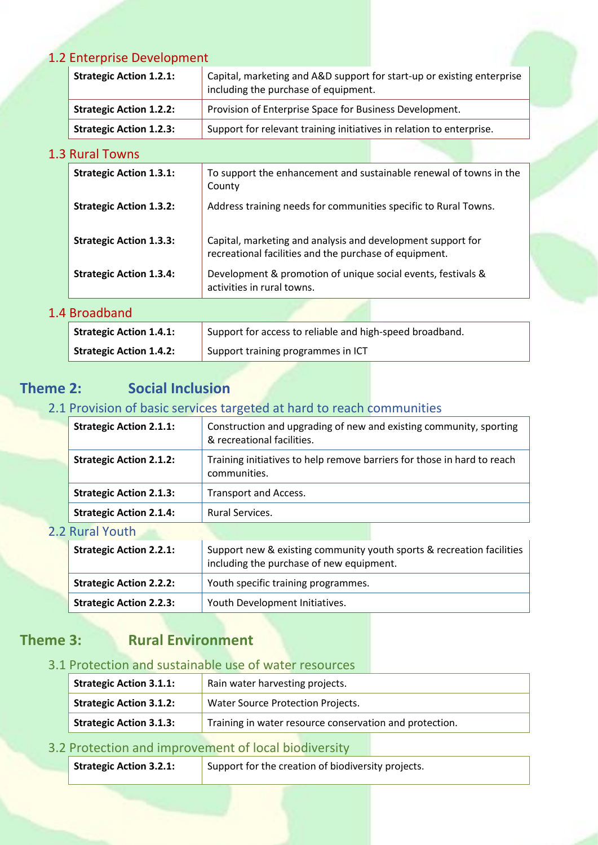#### 1.2 Enterprise Development

| <b>Strategic Action 1.2.1:</b> | Capital, marketing and A&D support for start-up or existing enterprise<br>including the purchase of equipment. |  |
|--------------------------------|----------------------------------------------------------------------------------------------------------------|--|
| <b>Strategic Action 1.2.2:</b> | Provision of Enterprise Space for Business Development.                                                        |  |
| <b>Strategic Action 1.2.3:</b> | Support for relevant training initiatives in relation to enterprise.                                           |  |
|                                |                                                                                                                |  |

#### 1.3 Rural Towns

| <b>Strategic Action 1.3.1:</b> | To support the enhancement and sustainable renewal of towns in the<br>County                                          |
|--------------------------------|-----------------------------------------------------------------------------------------------------------------------|
| <b>Strategic Action 1.3.2:</b> | Address training needs for communities specific to Rural Towns.                                                       |
| <b>Strategic Action 1.3.3:</b> | Capital, marketing and analysis and development support for<br>recreational facilities and the purchase of equipment. |
| <b>Strategic Action 1.3.4:</b> | Development & promotion of unique social events, festivals &<br>activities in rural towns.                            |

#### 1.4 Broadband

| Strategic Action 1.4.1:        | Support for access to reliable and high-speed broadband. |  |
|--------------------------------|----------------------------------------------------------|--|
| <b>Strategic Action 1.4.2:</b> | Support training programmes in ICT                       |  |

#### **Theme 2: Social Inclusion**

#### 2.1 Provision of basic services targeted at hard to reach communities

| <b>Strategic Action 2.1.1:</b> | Construction and upgrading of new and existing community, sporting<br>& recreational facilities.                  |  |
|--------------------------------|-------------------------------------------------------------------------------------------------------------------|--|
| <b>Strategic Action 2.1.2:</b> | Training initiatives to help remove barriers for those in hard to reach<br>communities.                           |  |
| <b>Strategic Action 2.1.3:</b> | <b>Transport and Access.</b>                                                                                      |  |
| <b>Strategic Action 2.1.4:</b> | Rural Services.                                                                                                   |  |
| 2.2 Rural Youth                |                                                                                                                   |  |
| <b>Strategic Action 2.2.1:</b> | Support new & existing community youth sports & recreation facilities<br>including the purchase of new equipment. |  |
| <b>Strategic Action 2.2.2:</b> | Youth specific training programmes.                                                                               |  |
|                                |                                                                                                                   |  |

#### **Theme 3: Rural Environment**

#### 3.1 Protection and sustainable use of water resources

**Strategic Action 2.2.3:** Youth Development Initiatives.

| <b>Strategic Action 3.1.1:</b>                                                            | Rain water harvesting projects.          |  |
|-------------------------------------------------------------------------------------------|------------------------------------------|--|
| <b>Strategic Action 3.1.2:</b>                                                            | <b>Water Source Protection Projects.</b> |  |
| <b>Strategic Action 3.1.3:</b><br>Training in water resource conservation and protection. |                                          |  |

#### 3.2 Protection and improvement of local biodiversity

| Strategic Action 3.2.1: | Support for the creation of biodiversity projects. |
|-------------------------|----------------------------------------------------|
|-------------------------|----------------------------------------------------|